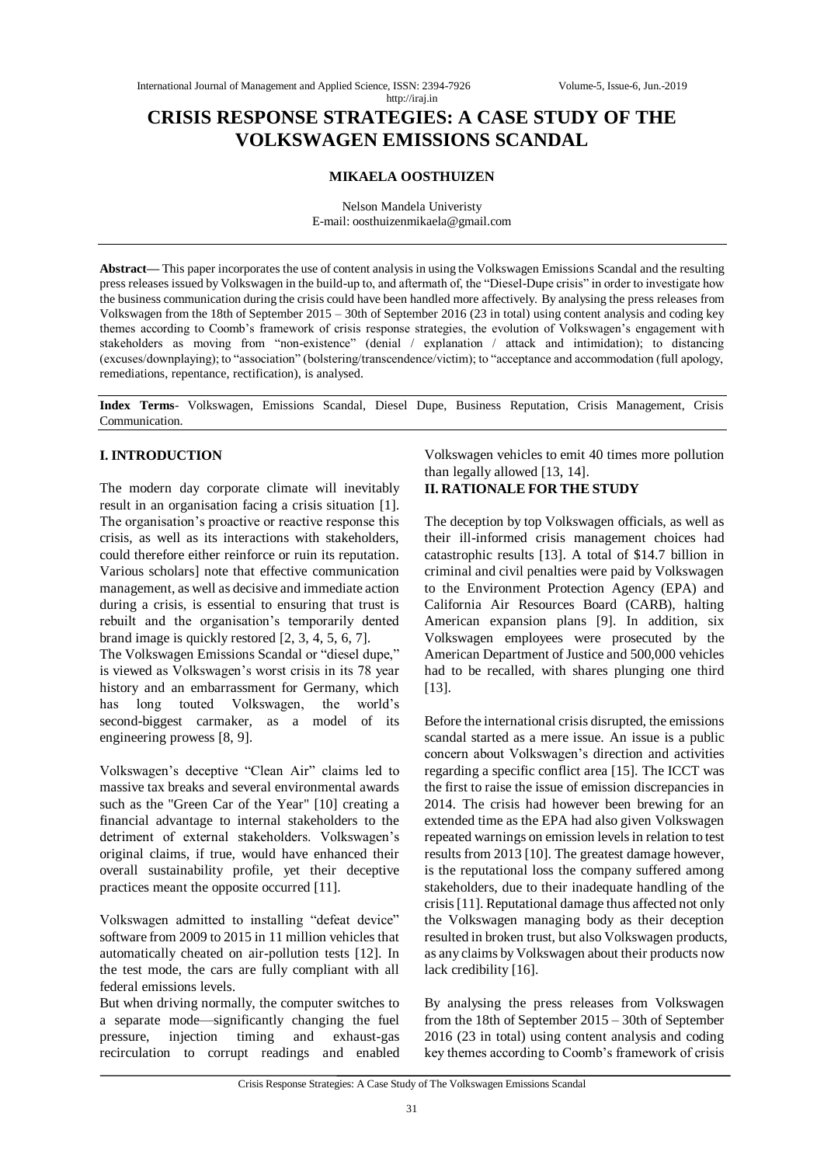# **CRISIS RESPONSE STRATEGIES: A CASE STUDY OF THE VOLKSWAGEN EMISSIONS SCANDAL**

http://iraj.in

## **MIKAELA OOSTHUIZEN**

Nelson Mandela Univeristy E-mail: oosthuizenmikaela@gmail.com

**Abstract—** This paper incorporates the use of content analysis in using the Volkswagen Emissions Scandal and the resulting press releases issued by Volkswagen in the build-up to, and aftermath of, the "Diesel-Dupe crisis" in order to investigate how the business communication during the crisis could have been handled more affectively. By analysing the press releases from Volkswagen from the 18th of September 2015 – 30th of September 2016 (23 in total) using content analysis and coding key themes according to Coomb's framework of crisis response strategies, the evolution of Volkswagen's engagement with stakeholders as moving from "non-existence" (denial / explanation / attack and intimidation); to distancing (excuses/downplaying); to "association" (bolstering/transcendence/victim); to "acceptance and accommodation (full apology, remediations, repentance, rectification), is analysed.

**Index Terms**- Volkswagen, Emissions Scandal, Diesel Dupe, Business Reputation, Crisis Management, Crisis Communication.

## **I. INTRODUCTION**

The modern day corporate climate will inevitably result in an organisation facing a crisis situation [1]. The organisation's proactive or reactive response this crisis, as well as its interactions with stakeholders, could therefore either reinforce or ruin its reputation. Various scholars] note that effective communication management, as well as decisive and immediate action during a crisis, is essential to ensuring that trust is rebuilt and the organisation's temporarily dented brand image is quickly restored [2, 3, 4, 5, 6, 7].

The Volkswagen Emissions Scandal or "diesel dupe," is viewed as Volkswagen's worst crisis in its 78 year history and an embarrassment for Germany, which has long touted Volkswagen, the world's second-biggest carmaker, as a model of its engineering prowess [8, 9].

Volkswagen's deceptive "Clean Air" claims led to massive tax breaks and several environmental awards such as the "Green Car of the Year" [10] creating a financial advantage to internal stakeholders to the detriment of external stakeholders. Volkswagen's original claims, if true, would have enhanced their overall sustainability profile, yet their deceptive practices meant the opposite occurred [11].

Volkswagen admitted to installing "defeat device" software from 2009 to 2015 in 11 million vehicles that automatically cheated on air-pollution tests [12]. In the test mode, the cars are fully compliant with all federal emissions levels.

But when driving normally, the computer switches to a separate mode—significantly changing the fuel pressure, injection timing and exhaust-gas recirculation to corrupt readings and enabled Volkswagen vehicles to emit 40 times more pollution than legally allowed [13, 14].

## **II. RATIONALE FOR THE STUDY**

The deception by top Volkswagen officials, as well as their ill-informed crisis management choices had catastrophic results [13]. A total of \$14.7 billion in criminal and civil penalties were paid by Volkswagen to the Environment Protection Agency (EPA) and California Air Resources Board (CARB), halting American expansion plans [9]. In addition, six Volkswagen employees were prosecuted by the American Department of Justice and 500,000 vehicles had to be recalled, with shares plunging one third [13].

Before the international crisis disrupted, the emissions scandal started as a mere issue. An issue is a public concern about Volkswagen's direction and activities regarding a specific conflict area [15]. The ICCT was the first to raise the issue of emission discrepancies in 2014. The crisis had however been brewing for an extended time as the EPA had also given Volkswagen repeated warnings on emission levels in relation to test results from 2013 [10]. The greatest damage however, is the reputational loss the company suffered among stakeholders, due to their inadequate handling of the crisis[11]. Reputational damage thus affected not only the Volkswagen managing body as their deception resulted in broken trust, but also Volkswagen products, as any claims by Volkswagen about their products now lack credibility [16].

By analysing the press releases from Volkswagen from the 18th of September 2015 – 30th of September 2016 (23 in total) using content analysis and coding key themes according to Coomb's framework of crisis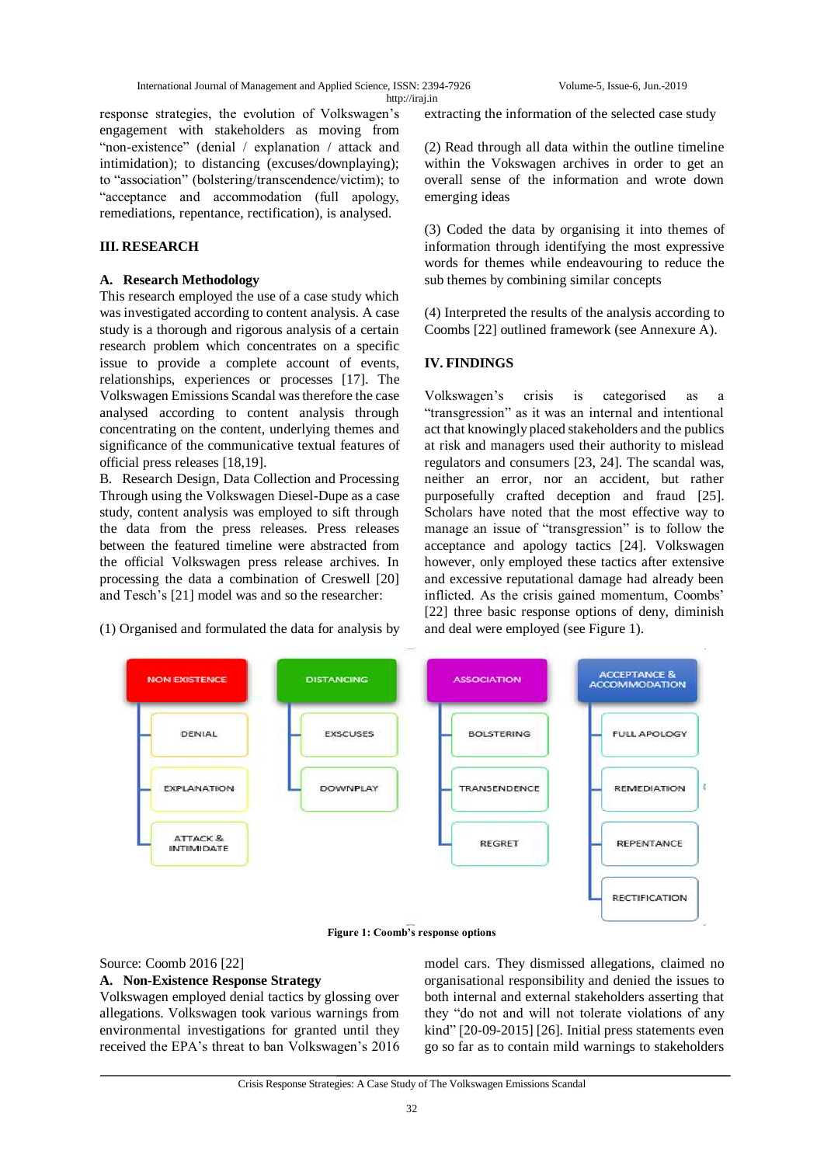International Journal of Management and Applied Science, ISSN: 2394-7926 Volume-5, Issue-6, Jun.-2019 http://iraj.in

response strategies, the evolution of Volkswagen's engagement with stakeholders as moving from "non-existence" (denial / explanation / attack and intimidation); to distancing (excuses/downplaying); to "association" (bolstering/transcendence/victim); to "acceptance and accommodation (full apology, remediations, repentance, rectification), is analysed.

## **III. RESEARCH**

## **A. Research Methodology**

This research employed the use of a case study which was investigated according to content analysis. A case study is a thorough and rigorous analysis of a certain research problem which concentrates on a specific issue to provide a complete account of events, relationships, experiences or processes [17]. The Volkswagen Emissions Scandal was therefore the case analysed according to content analysis through concentrating on the content, underlying themes and significance of the communicative textual features of official press releases [18,19].

B. Research Design, Data Collection and Processing Through using the Volkswagen Diesel-Dupe as a case study, content analysis was employed to sift through the data from the press releases. Press releases between the featured timeline were abstracted from the official Volkswagen press release archives. In processing the data a combination of Creswell [20] and Tesch's [21] model was and so the researcher:

(1) Organised and formulated the data for analysis by

extracting the information of the selected case study

(2) Read through all data within the outline timeline within the Vokswagen archives in order to get an overall sense of the information and wrote down emerging ideas

(3) Coded the data by organising it into themes of information through identifying the most expressive words for themes while endeavouring to reduce the sub themes by combining similar concepts

(4) Interpreted the results of the analysis according to Coombs [22] outlined framework (see Annexure A).

## **IV. FINDINGS**

Volkswagen's crisis is categorised as a "transgression" as it was an internal and intentional act that knowingly placed stakeholders and the publics at risk and managers used their authority to mislead regulators and consumers [23, 24]. The scandal was, neither an error, nor an accident, but rather purposefully crafted deception and fraud [25]. Scholars have noted that the most effective way to manage an issue of "transgression" is to follow the acceptance and apology tactics [24]. Volkswagen however, only employed these tactics after extensive and excessive reputational damage had already been inflicted. As the crisis gained momentum, Coombs' [22] three basic response options of deny, diminish and deal were employed (see Figure 1).



#### **Figure 1: Coomb's response options**

#### Source: Coomb 2016 [22]

#### **A. Non-Existence Response Strategy**

Volkswagen employed denial tactics by glossing over allegations. Volkswagen took various warnings from environmental investigations for granted until they received the EPA's threat to ban Volkswagen's 2016 model cars. They dismissed allegations, claimed no organisational responsibility and denied the issues to both internal and external stakeholders asserting that they "do not and will not tolerate violations of any kind"  $[20-09-2015]$   $[26]$ . Initial press statements even go so far as to contain mild warnings to stakeholders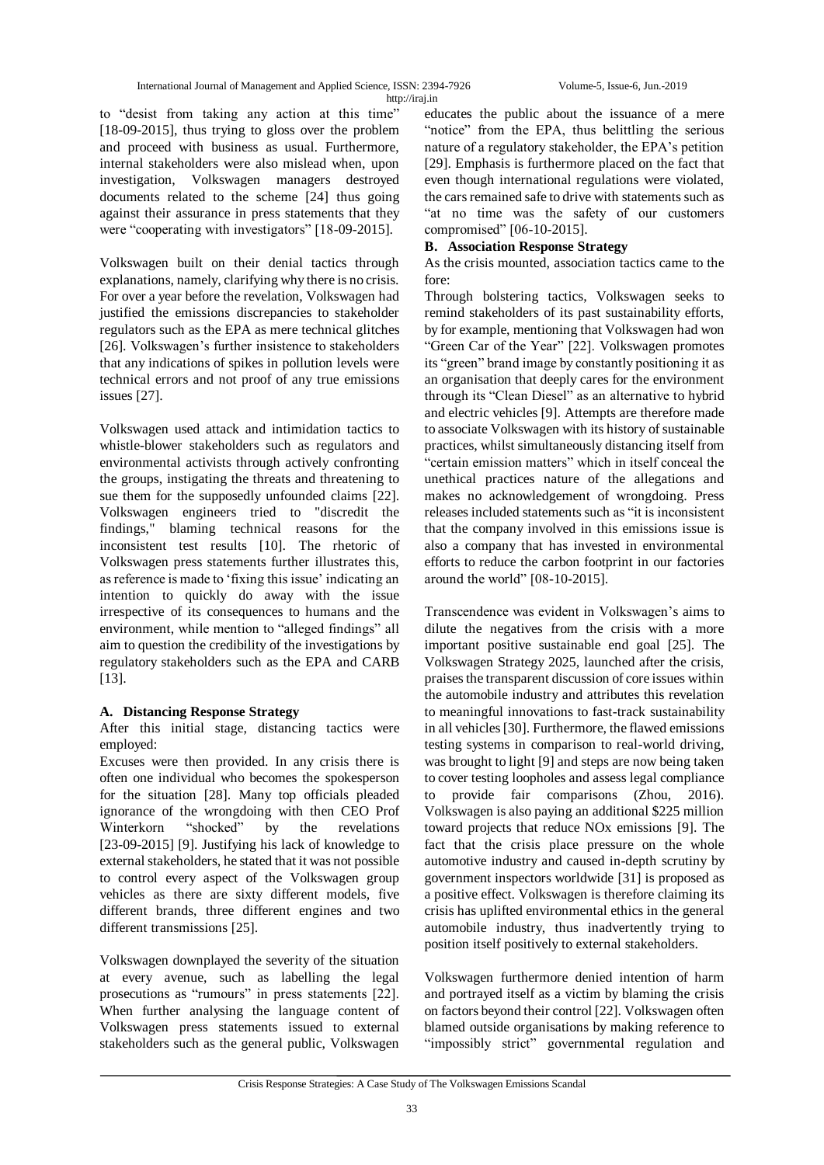to "desist from taking any action at this time" [18-09-2015], thus trying to gloss over the problem and proceed with business as usual. Furthermore, internal stakeholders were also mislead when, upon investigation, Volkswagen managers destroyed documents related to the scheme [24] thus going against their assurance in press statements that they were "cooperating with investigators" [18-09-2015].

Volkswagen built on their denial tactics through explanations, namely, clarifying why there is no crisis. For over a year before the revelation, Volkswagen had justified the emissions discrepancies to stakeholder regulators such as the EPA as mere technical glitches [26]. Volkswagen's further insistence to stakeholders that any indications of spikes in pollution levels were technical errors and not proof of any true emissions issues [27].

Volkswagen used attack and intimidation tactics to whistle-blower stakeholders such as regulators and environmental activists through actively confronting the groups, instigating the threats and threatening to sue them for the supposedly unfounded claims [22]. Volkswagen engineers tried to "discredit the findings," blaming technical reasons for the inconsistent test results [10]. The rhetoric of Volkswagen press statements further illustrates this, as reference is made to 'fixing this issue' indicating an intention to quickly do away with the issue irrespective of its consequences to humans and the environment, while mention to "alleged findings" all aim to question the credibility of the investigations by regulatory stakeholders such as the EPA and CARB [13].

## **A. Distancing Response Strategy**

After this initial stage, distancing tactics were employed:

Excuses were then provided. In any crisis there is often one individual who becomes the spokesperson for the situation [28]. Many top officials pleaded ignorance of the wrongdoing with then CEO Prof Winterkorn "shocked" by the revelations [23-09-2015] [9]. Justifying his lack of knowledge to external stakeholders, he stated that it was not possible to control every aspect of the Volkswagen group vehicles as there are sixty different models, five different brands, three different engines and two different transmissions [25].

Volkswagen downplayed the severity of the situation at every avenue, such as labelling the legal prosecutions as "rumours" in press statements [22]. When further analysing the language content of Volkswagen press statements issued to external stakeholders such as the general public, Volkswagen educates the public about the issuance of a mere "notice" from the EPA, thus belittling the serious nature of a regulatory stakeholder, the EPA's petition [29]. Emphasis is furthermore placed on the fact that even though international regulations were violated, the cars remained safe to drive with statements such as "at no time was the safety of our customers compromised" [06-10-2015].

## **B. Association Response Strategy**

As the crisis mounted, association tactics came to the fore:

Through bolstering tactics, Volkswagen seeks to remind stakeholders of its past sustainability efforts, by for example, mentioning that Volkswagen had won "Green Car of the Year" [22]. Volkswagen promotes its "green" brand image by constantly positioning it as an organisation that deeply cares for the environment through its "Clean Diesel" as an alternative to hybrid and electric vehicles [9]. Attempts are therefore made to associate Volkswagen with its history of sustainable practices, whilst simultaneously distancing itself from "certain emission matters" which in itself conceal the unethical practices nature of the allegations and makes no acknowledgement of wrongdoing. Press releases included statements such as "it is inconsistent that the company involved in this emissions issue is also a company that has invested in environmental efforts to reduce the carbon footprint in our factories around the world"  $[08-10-2015]$ .

Transcendence was evident in Volkswagen's aims to dilute the negatives from the crisis with a more important positive sustainable end goal [25]. The Volkswagen Strategy 2025, launched after the crisis, praises the transparent discussion of core issues within the automobile industry and attributes this revelation to meaningful innovations to fast-track sustainability in all vehicles [30]. Furthermore, the flawed emissions testing systems in comparison to real-world driving, was brought to light [9] and steps are now being taken to cover testing loopholes and assess legal compliance to provide fair comparisons (Zhou, 2016). Volkswagen is also paying an additional \$225 million toward projects that reduce NOx emissions [9]. The fact that the crisis place pressure on the whole automotive industry and caused in-depth scrutiny by government inspectors worldwide [31] is proposed as a positive effect. Volkswagen is therefore claiming its crisis has uplifted environmental ethics in the general automobile industry, thus inadvertently trying to position itself positively to external stakeholders.

Volkswagen furthermore denied intention of harm and portrayed itself as a victim by blaming the crisis on factors beyond their control [22]. Volkswagen often blamed outside organisations by making reference to "impossibly strict" governmental regulation and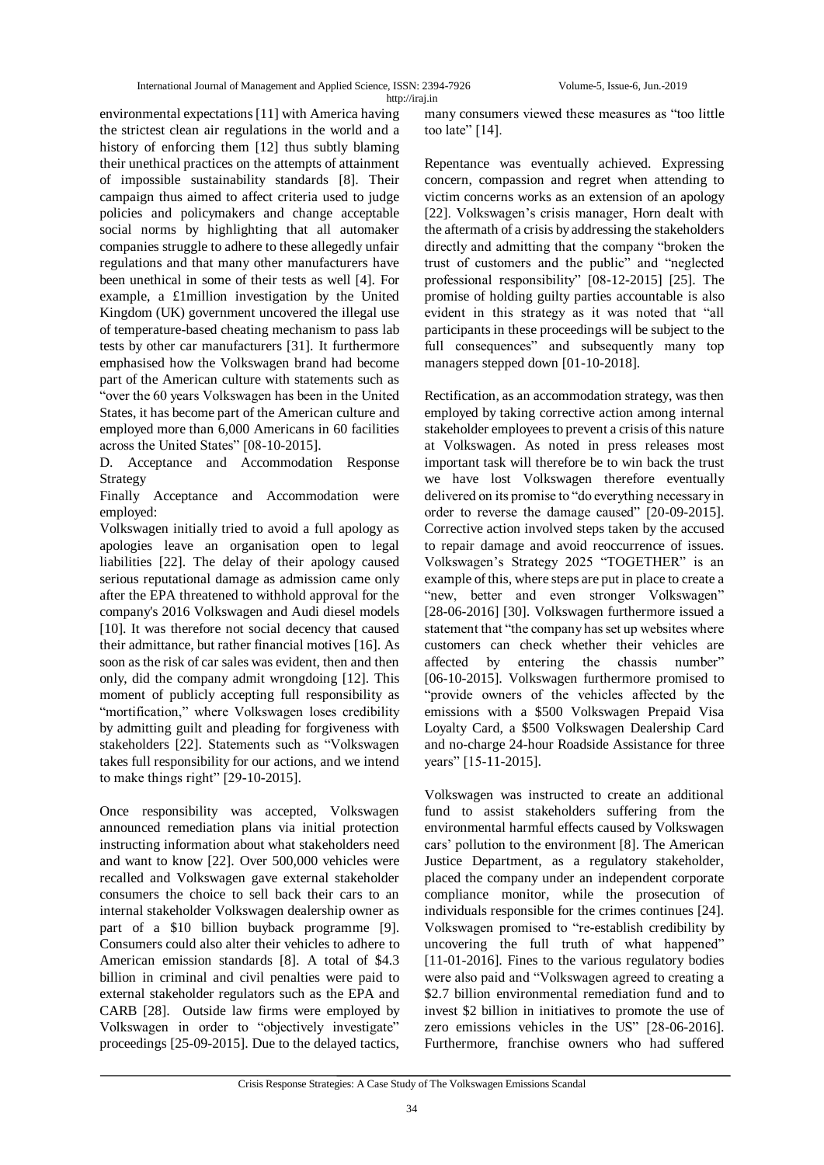International Journal of Management and Applied Science, ISSN: 2394-7926 Volume-5, Issue-6, Jun.-2019 http://iraj.in

environmental expectations [11] with America having the strictest clean air regulations in the world and a history of enforcing them [12] thus subtly blaming their unethical practices on the attempts of attainment of impossible sustainability standards [8]. Their campaign thus aimed to affect criteria used to judge policies and policymakers and change acceptable social norms by highlighting that all automaker companies struggle to adhere to these allegedly unfair regulations and that many other manufacturers have been unethical in some of their tests as well [4]. For example, a £1million investigation by the United Kingdom (UK) government uncovered the illegal use of temperature-based cheating mechanism to pass lab tests by other car manufacturers [31]. It furthermore emphasised how the Volkswagen brand had become part of the American culture with statements such as "over the 60 years Volkswagen has been in the United States, it has become part of the American culture and employed more than 6,000 Americans in 60 facilities across the United States" [08-10-2015].

D. Acceptance and Accommodation Response Strategy

Finally Acceptance and Accommodation were employed:

Volkswagen initially tried to avoid a full apology as apologies leave an organisation open to legal liabilities [22]. The delay of their apology caused serious reputational damage as admission came only after the EPA threatened to withhold approval for the company's 2016 Volkswagen and Audi diesel models [10]. It was therefore not social decency that caused their admittance, but rather financial motives [16]. As soon as the risk of car sales was evident, then and then only, did the company admit wrongdoing [12]. This moment of publicly accepting full responsibility as "mortification," where Volkswagen loses credibility by admitting guilt and pleading for forgiveness with stakeholders [22]. Statements such as "Volkswagen" takes full responsibility for our actions, and we intend to make things right"  $[29-10-2015]$ .

Once responsibility was accepted, Volkswagen announced remediation plans via initial protection instructing information about what stakeholders need and want to know [22]. Over 500,000 vehicles were recalled and Volkswagen gave external stakeholder consumers the choice to sell back their cars to an internal stakeholder Volkswagen dealership owner as part of a \$10 billion buyback programme [9]. Consumers could also alter their vehicles to adhere to American emission standards [8]. A total of \$4.3 billion in criminal and civil penalties were paid to external stakeholder regulators such as the EPA and CARB [28]. Outside law firms were employed by Volkswagen in order to "objectively investigate" proceedings [25-09-2015]. Due to the delayed tactics,

many consumers viewed these measures as "too little too late"  $[14]$ .

Repentance was eventually achieved. Expressing concern, compassion and regret when attending to victim concerns works as an extension of an apology [22]. Volkswagen's crisis manager, Horn dealt with the aftermath of a crisis by addressing the stakeholders directly and admitting that the company "broken the trust of customers and the public" and "neglected professional responsibility" [08-12-2015] [25]. The promise of holding guilty parties accountable is also evident in this strategy as it was noted that "all participants in these proceedings will be subject to the full consequences" and subsequently many top managers stepped down [01-10-2018].

Rectification, as an accommodation strategy, was then employed by taking corrective action among internal stakeholder employees to prevent a crisis of this nature at Volkswagen. As noted in press releases most important task will therefore be to win back the trust we have lost Volkswagen therefore eventually delivered on its promise to "do everything necessary in order to reverse the damage caused" [20-09-2015]. Corrective action involved steps taken by the accused to repair damage and avoid reoccurrence of issues. Volkswagen's Strategy 2025 "TOGETHER" is an example of this, where steps are put in place to create a "new, better and even stronger Volkswagen" [28-06-2016] [30]. Volkswagen furthermore issued a statement that "the company has set up websites where customers can check whether their vehicles are affected by entering the chassis number" [06-10-2015]. Volkswagen furthermore promised to "provide owners of the vehicles affected by the emissions with a \$500 Volkswagen Prepaid Visa Loyalty Card, a \$500 Volkswagen Dealership Card and no-charge 24-hour Roadside Assistance for three years" [15-11-2015].

Volkswagen was instructed to create an additional fund to assist stakeholders suffering from the environmental harmful effects caused by Volkswagen cars' pollution to the environment [8]. The American Justice Department, as a regulatory stakeholder, placed the company under an independent corporate compliance monitor, while the prosecution of individuals responsible for the crimes continues [24]. Volkswagen promised to "re-establish credibility by uncovering the full truth of what happened" [11-01-2016]. Fines to the various regulatory bodies were also paid and "Volkswagen agreed to creating a \$2.7 billion environmental remediation fund and to invest \$2 billion in initiatives to promote the use of zero emissions vehicles in the US" [28-06-2016]. Furthermore, franchise owners who had suffered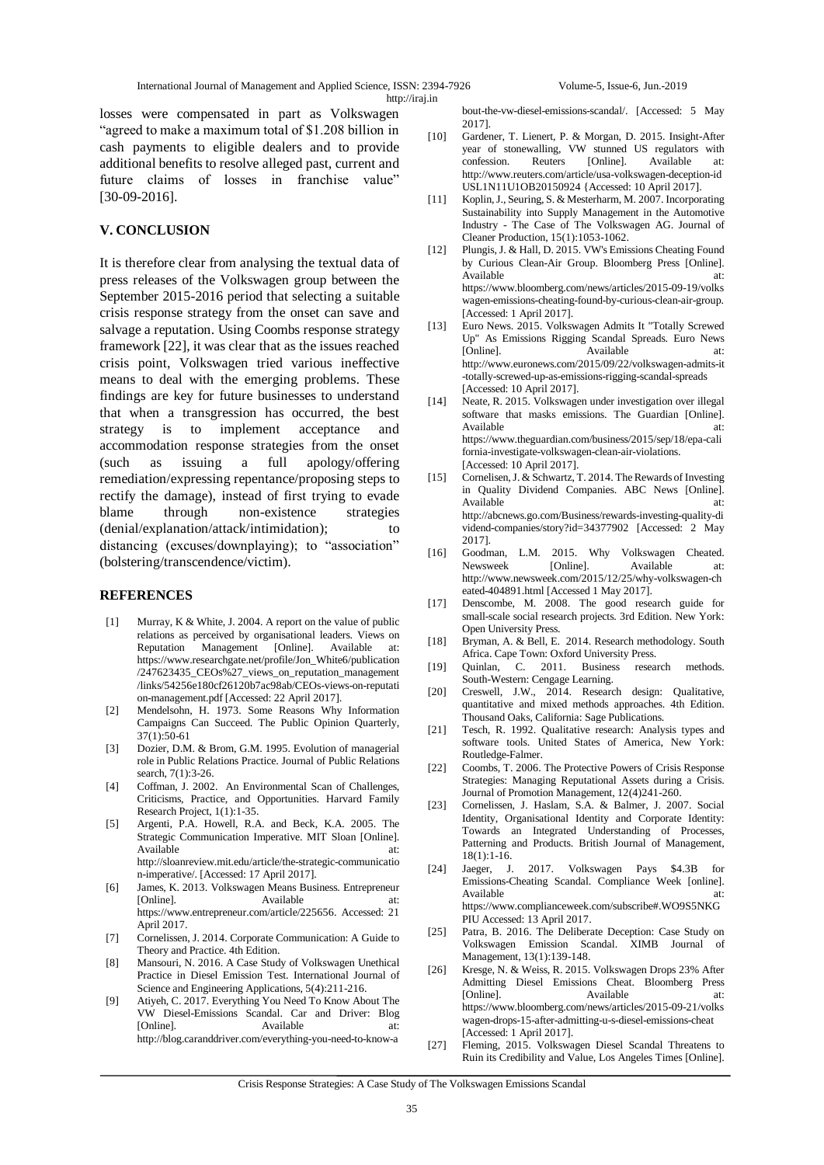International Journal of Management and Applied Science, ISSN: 2394-7926 Volume-5, Issue-6, Jun.-2019 http://iraj.in

losses were compensated in part as Volkswagen "agreed to make a maximum total of \$1.208 billion in cash payments to eligible dealers and to provide additional benefits to resolve alleged past, current and future claims of losses in franchise value" [30-09-2016].

## **V. CONCLUSION**

It is therefore clear from analysing the textual data of press releases of the Volkswagen group between the September 2015-2016 period that selecting a suitable crisis response strategy from the onset can save and salvage a reputation. Using Coombs response strategy framework [22], it was clear that as the issues reached crisis point, Volkswagen tried various ineffective means to deal with the emerging problems. These findings are key for future businesses to understand that when a transgression has occurred, the best strategy is to implement acceptance and accommodation response strategies from the onset (such as issuing a full apology/offering remediation/expressing repentance/proposing steps to rectify the damage), instead of first trying to evade blame through non-existence strategies (denial/explanation/attack/intimidation); to distancing (excuses/downplaying); to "association" (bolstering/transcendence/victim).

#### **REFERENCES**

- [1] Murray, K & White, J. 2004. A report on the value of public relations as perceived by organisational leaders. Views on Reputation Management [Online]. Available at: https://www.researchgate.net/profile/Jon\_White6/publication /247623435\_CEOs%27\_views\_on\_reputation\_management /links/54256e180cf26120b7ac98ab/CEOs-views-on-reputati on-management.pdf [Accessed: 22 April 2017].
- [2] Mendelsohn, H. 1973. Some Reasons Why Information Campaigns Can Succeed. The Public Opinion Quarterly, 37(1):50-61
- [3] Dozier, D.M. & Brom, G.M. 1995. Evolution of managerial role in Public Relations Practice. Journal of Public Relations search, 7(1):3-26.
- [4] Coffman, J. 2002. An Environmental Scan of Challenges, Criticisms, Practice, and Opportunities. Harvard Family Research Project, 1(1):1-35.
- [5] Argenti, P.A. Howell, R.A. and Beck, K.A. 2005. The Strategic Communication Imperative. MIT Sloan [Online]. Available at:  $\overline{a}$  at: http://sloanreview.mit.edu/article/the-strategic-communicatio n-imperative/. [Accessed: 17 April 2017].
- [6] James, K. 2013. Volkswagen Means Business. Entrepreneur [Online]. Available https://www.entrepreneur.com/article/225656. Accessed: 21 April 2017.
- [7] Cornelissen, J. 2014. Corporate Communication: A Guide to Theory and Practice. 4th Edition.
- [8] Mansouri, N. 2016. A Case Study of Volkswagen Unethical Practice in Diesel Emission Test. International Journal of Science and Engineering Applications, 5(4):211-216.
- [9] Atiyeh, C. 2017. Everything You Need To Know About The VW Diesel-Emissions Scandal. Car and Driver: Blog [Online]. Available at: http://blog.caranddriver.com/everything-you-need-to-know-a

bout-the-vw-diesel-emissions-scandal/. [Accessed: 5 May 2017].

- [10] Gardener, T. Lienert, P. & Morgan, D. 2015. Insight-After year of stonewalling, VW stunned US regulators with confession. Reuters [Online]. Available at: http://www.reuters.com/article/usa-volkswagen-deception-id USL1N11U1OB20150924 {Accessed: 10 April 2017].
- [11] Koplin, J., Seuring, S. & Mesterharm, M. 2007. Incorporating Sustainability into Supply Management in the Automotive Industry - The Case of The Volkswagen AG. Journal of Cleaner Production, 15(1):1053-1062.
- [12] Plungis, J. & Hall, D. 2015. VW's Emissions Cheating Found by Curious Clean-Air Group. Bloomberg Press [Online]. Available at: at: https://www.bloomberg.com/news/articles/2015-09-19/volks wagen-emissions-cheating-found-by-curious-clean-air-group. [Accessed: 1 April 2017].
- [13] Euro News. 2015. Volkswagen Admits It "Totally Screwed Up" As Emissions Rigging Scandal Spreads. Euro News [Online]. Available at: http://www.euronews.com/2015/09/22/volkswagen-admits-it -totally-screwed-up-as-emissions-rigging-scandal-spreads [Accessed: 10 April 2017].
- [14] Neate, R. 2015. Volkswagen under investigation over illegal software that masks emissions. The Guardian [Online]. Available https://www.theguardian.com/business/2015/sep/18/epa-cali fornia-investigate-volkswagen-clean-air-violations. [Accessed: 10 April 2017].
- [15] Cornelisen, J. & Schwartz, T. 2014. The Rewards of Investing in Quality Dividend Companies. ABC News [Online]. Available at: http://abcnews.go.com/Business/rewards-investing-quality-di vidend-companies/story?id=34377902 [Accessed: 2 May 2017].
- [16] Goodman, L.M. 2015. Why Volkswagen Cheated. Newsweek [Online]. Available at: http://www.newsweek.com/2015/12/25/why-volkswagen-ch eated-404891.html [Accessed 1 May 2017].
- [17] Denscombe, M. 2008. The good research guide for small-scale social research projects. 3rd Edition. New York: Open University Press.
- [18] Bryman, A. & Bell, E. 2014. Research methodology. South Africa. Cape Town: Oxford University Press.
- [19] Quinlan, C. 2011. Business research methods. South-Western: Cengage Learning.
- [20] Creswell, J.W., 2014. Research design: Qualitative, quantitative and mixed methods approaches. 4th Edition. Thousand Oaks, California: Sage Publications.
- [21] Tesch, R. 1992. Qualitative research: Analysis types and software tools. United States of America, New York: Routledge-Falmer.
- [22] Coombs, T. 2006. The Protective Powers of Crisis Response Strategies: Managing Reputational Assets during a Crisis. Journal of Promotion Management, 12(4)241-260.
- [23] Cornelissen, J. Haslam, S.A. & Balmer, J. 2007. Social Identity, Organisational Identity and Corporate Identity: Towards an Integrated Understanding of Processes, Patterning and Products. British Journal of Management, 18(1):1-16.
- [24] Jaeger, J. 2017. Volkswagen Pays \$4.3B for Emissions-Cheating Scandal. Compliance Week [online]. Available at: https://www.complianceweek.com/subscribe#.WO9S5NKG PIU Accessed: 13 April 2017.
- [25] Patra, B. 2016. The Deliberate Deception: Case Study on Volkswagen Emission Scandal. XIMB Journal of Management, 13(1):139-148.
- [26] Kresge, N. & Weiss, R. 2015. Volkswagen Drops 23% After Admitting Diesel Emissions Cheat. Bloomberg Press [Online]. Available at: https://www.bloomberg.com/news/articles/2015-09-21/volks wagen-drops-15-after-admitting-u-s-diesel-emissions-cheat [Accessed: 1 April 2017].
- [27] Fleming, 2015. Volkswagen Diesel Scandal Threatens to Ruin its Credibility and Value, Los Angeles Times [Online].

Crisis Response Strategies: A Case Study of The Volkswagen Emissions Scandal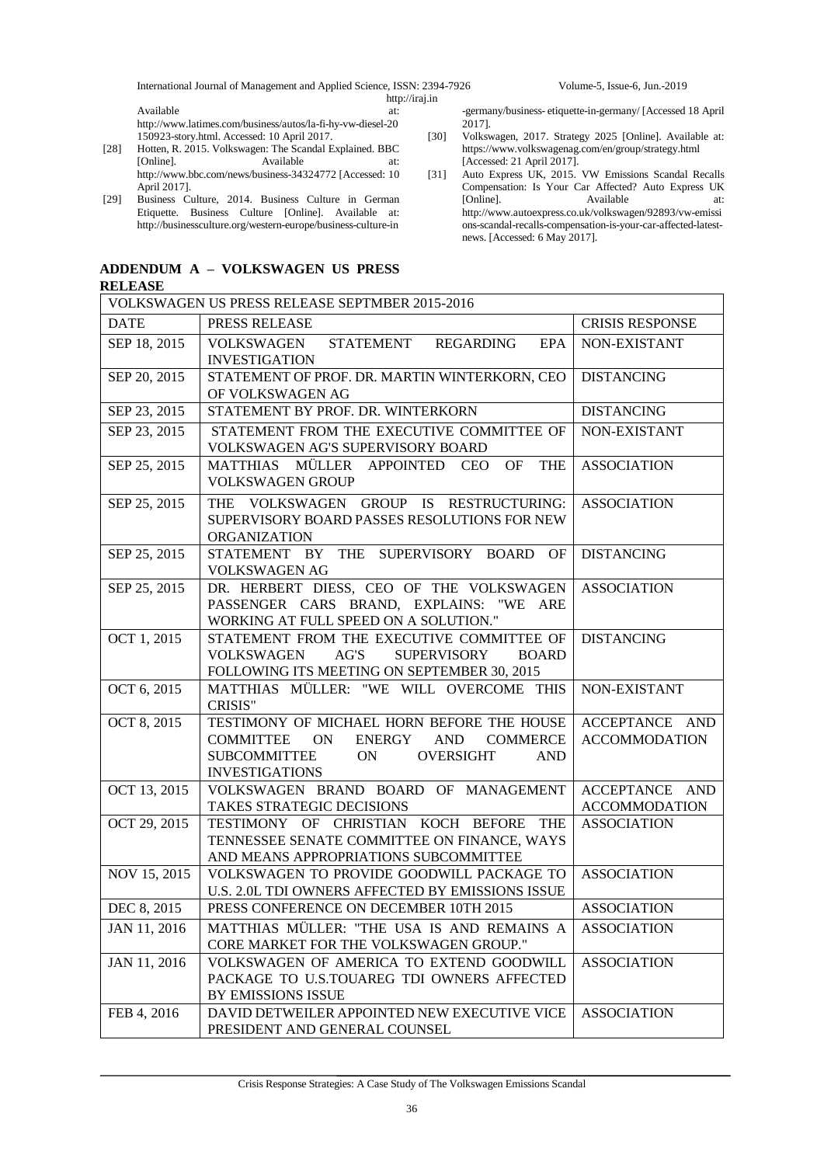International Journal of Management and Applied Science, ISSN: 2394-7926 Volume-5, Issue-6, Jun.-2019

http://iraj.in

Available at: http://www.latimes.com/business/autos/la-fi-hy-vw-diesel-20 150923-story.html. Accessed: 10 April 2017.

- [28] Hotten, R. 2015. Volkswagen: The Scandal Explained. BBC Available at: http://www.bbc.com/news/business-34324772 [Accessed: 10 April 2017].
- [29] Business Culture, 2014. Business Culture in German Etiquette. Business Culture [Online]. Available at: http://businessculture.org/western-europe/business-culture-in

## **ADDENDUM A – VOLKSWAGEN US PRESS**

#### **RELEASE**

-germany/business- etiquette-in-germany/ [Accessed 18 April 2017].

- [30] Volkswagen, 2017. Strategy 2025 [Online]. Available at: https://www.volkswagenag.com/en/group/strategy.html [Accessed: 21 April 2017].
- [31] Auto Express UK, 2015. VW Emissions Scandal Recalls Compensation: Is Your Car Affected? Auto Express UK [Online]. Available at: http://www.autoexpress.co.uk/volkswagen/92893/vw-emissi ons-scandal-recalls-compensation-is-your-car-affected-latestnews. [Accessed: 6 May 2017].

| RELEASE                                        |                                                                                        |                        |  |  |
|------------------------------------------------|----------------------------------------------------------------------------------------|------------------------|--|--|
| VOLKSWAGEN US PRESS RELEASE SEPTMBER 2015-2016 |                                                                                        |                        |  |  |
| <b>DATE</b>                                    | PRESS RELEASE                                                                          | <b>CRISIS RESPONSE</b> |  |  |
| SEP 18, 2015                                   | VOLKSWAGEN<br>STATEMENT REGARDING<br>EPA                                               | NON-EXISTANT           |  |  |
|                                                | <b>INVESTIGATION</b>                                                                   |                        |  |  |
| SEP 20, 2015                                   | STATEMENT OF PROF. DR. MARTIN WINTERKORN, CEO                                          | <b>DISTANCING</b>      |  |  |
|                                                | OF VOLKSWAGEN AG                                                                       |                        |  |  |
| SEP 23, 2015                                   | STATEMENT BY PROF. DR. WINTERKORN                                                      | <b>DISTANCING</b>      |  |  |
| SEP 23, 2015                                   | STATEMENT FROM THE EXECUTIVE COMMITTEE OF                                              | NON-EXISTANT           |  |  |
|                                                | VOLKSWAGEN AG'S SUPERVISORY BOARD                                                      |                        |  |  |
| SEP 25, 2015                                   | OF<br><b>THE</b><br>MATTHIAS MÜLLER APPOINTED CEO                                      | <b>ASSOCIATION</b>     |  |  |
|                                                | <b>VOLKSWAGEN GROUP</b>                                                                |                        |  |  |
| SEP 25, 2015                                   | THE VOLKSWAGEN GROUP IS RESTRUCTURING:                                                 | <b>ASSOCIATION</b>     |  |  |
|                                                | SUPERVISORY BOARD PASSES RESOLUTIONS FOR NEW                                           |                        |  |  |
|                                                | <b>ORGANIZATION</b>                                                                    |                        |  |  |
| SEP 25, 2015                                   | STATEMENT BY THE SUPERVISORY BOARD OF                                                  | <b>DISTANCING</b>      |  |  |
| SEP 25, 2015                                   | <b>VOLKSWAGEN AG</b><br>DR. HERBERT DIESS, CEO OF THE VOLKSWAGEN                       |                        |  |  |
|                                                | PASSENGER CARS BRAND, EXPLAINS: "WE ARE                                                | <b>ASSOCIATION</b>     |  |  |
|                                                | WORKING AT FULL SPEED ON A SOLUTION."                                                  |                        |  |  |
| OCT 1, 2015                                    | STATEMENT FROM THE EXECUTIVE COMMITTEE OF                                              | <b>DISTANCING</b>      |  |  |
|                                                | AG'S<br><b>SUPERVISORY</b><br><b>VOLKSWAGEN</b><br><b>BOARD</b>                        |                        |  |  |
|                                                | FOLLOWING ITS MEETING ON SEPTEMBER 30, 2015                                            |                        |  |  |
| OCT 6, 2015                                    | MATTHIAS MÜLLER: "WE WILL OVERCOME THIS                                                | NON-EXISTANT           |  |  |
|                                                | <b>CRISIS"</b>                                                                         |                        |  |  |
| OCT 8, 2015                                    | TESTIMONY OF MICHAEL HORN BEFORE THE HOUSE                                             | ACCEPTANCE AND         |  |  |
|                                                | ON<br>ENERGY AND<br><b>COMMERCE</b><br><b>COMMITTEE</b>                                | <b>ACCOMMODATION</b>   |  |  |
|                                                | <b>SUBCOMMITTEE</b><br>ON<br><b>OVERSIGHT</b><br><b>AND</b>                            |                        |  |  |
|                                                | <b>INVESTIGATIONS</b>                                                                  |                        |  |  |
| OCT 13, 2015                                   | VOLKSWAGEN BRAND BOARD OF MANAGEMENT                                                   | ACCEPTANCE AND         |  |  |
|                                                | TAKES STRATEGIC DECISIONS                                                              | <b>ACCOMMODATION</b>   |  |  |
| OCT 29, 2015                                   | TESTIMONY OF CHRISTIAN KOCH BEFORE THE                                                 | <b>ASSOCIATION</b>     |  |  |
|                                                | TENNESSEE SENATE COMMITTEE ON FINANCE, WAYS                                            |                        |  |  |
|                                                | AND MEANS APPROPRIATIONS SUBCOMMITTEE                                                  |                        |  |  |
| NOV 15, 2015                                   | VOLKSWAGEN TO PROVIDE GOODWILL PACKAGE TO                                              | <b>ASSOCIATION</b>     |  |  |
|                                                | U.S. 2.0L TDI OWNERS AFFECTED BY EMISSIONS ISSUE                                       |                        |  |  |
| DEC 8, 2015                                    | PRESS CONFERENCE ON DECEMBER 10TH 2015                                                 | ASSOCIATION            |  |  |
| JAN 11, 2016                                   | MATTHIAS MÜLLER: "THE USA IS AND REMAINS A                                             | <b>ASSOCIATION</b>     |  |  |
|                                                | CORE MARKET FOR THE VOLKSWAGEN GROUP."                                                 |                        |  |  |
| JAN 11, 2016                                   | VOLKSWAGEN OF AMERICA TO EXTEND GOODWILL<br>PACKAGE TO U.S.TOUAREG TDI OWNERS AFFECTED | <b>ASSOCIATION</b>     |  |  |
|                                                | BY EMISSIONS ISSUE                                                                     |                        |  |  |
| FEB 4, 2016                                    | DAVID DETWEILER APPOINTED NEW EXECUTIVE VICE                                           | <b>ASSOCIATION</b>     |  |  |
|                                                | PRESIDENT AND GENERAL COUNSEL                                                          |                        |  |  |
|                                                |                                                                                        |                        |  |  |